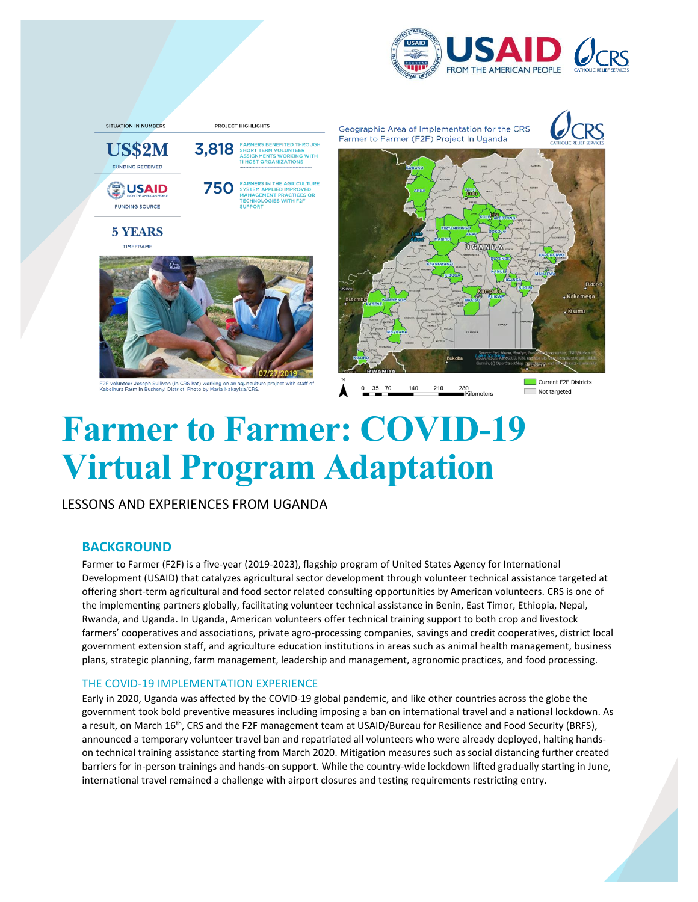



# **Farmer to Farmer: COVID-19 Virtual Program Adaptation**

LESSONS AND EXPERIENCES FROM UGANDA

# **BACKGROUND**

Farmer to Farmer (F2F) is a five-year (2019-2023), flagship program of United States Agency for International Development (USAID) that catalyzes agricultural sector development through volunteer technical assistance targeted at offering short-term agricultural and food sector related consulting opportunities by American volunteers. CRS is one of the implementing partners globally, facilitating volunteer technical assistance in Benin, East Timor, Ethiopia, Nepal, Rwanda, and Uganda. In Uganda, American volunteers offer technical training support to both crop and livestock farmers' cooperatives and associations, private agro-processing companies, savings and credit cooperatives, district local government extension staff, and agriculture education institutions in areas such as animal health management, business plans, strategic planning, farm management, leadership and management, agronomic practices, and food processing.

## THE COVID-19 IMPLEMENTATION EXPERIENCE

Early in 2020, Uganda was affected by the COVID-19 global pandemic, and like other countries across the globe the government took bold preventive measures including imposing a ban on international travel and a national lockdown. As a result, on March 16<sup>th</sup>, CRS and the F2F management team at USAID/Bureau for Resilience and Food Security (BRFS), announced a temporary volunteer travel ban and repatriated all volunteers who were already deployed, halting handson technical training assistance starting from March 2020. Mitigation measures such as social distancing further created barriers for in-person trainings and hands-on support. While the country-wide lockdown lifted gradually starting in June, international travel remained a challenge with airport closures and testing requirements restricting entry.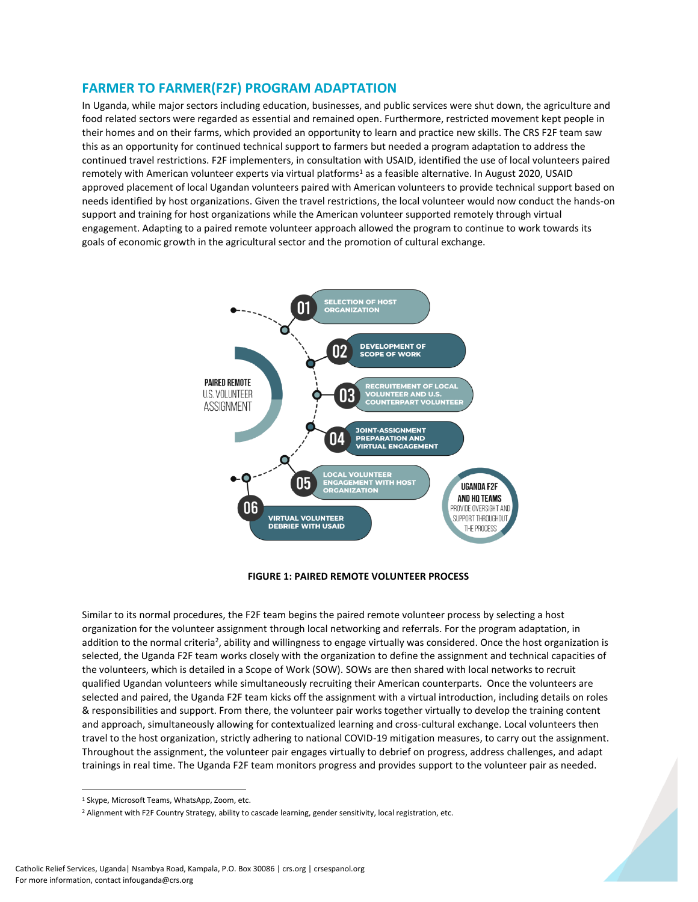# **FARMER TO FARMER(F2F) PROGRAM ADAPTATION**

In Uganda, while major sectors including education, businesses, and public services were shut down, the agriculture and food related sectors were regarded as essential and remained open. Furthermore, restricted movement kept people in their homes and on their farms, which provided an opportunity to learn and practice new skills. The CRS F2F team saw this as an opportunity for continued technical support to farmers but needed a program adaptation to address the continued travel restrictions. F2F implementers, in consultation with USAID, identified the use of local volunteers paired remotely with American volunteer experts via virtual platforms<sup>1</sup> as a feasible alternative. In August 2020, USAID approved placement of local Ugandan volunteers paired with American volunteers to provide technical support based on needs identified by host organizations. Given the travel restrictions, the local volunteer would now conduct the hands-on support and training for host organizations while the American volunteer supported remotely through virtual engagement. Adapting to a paired remote volunteer approach allowed the program to continue to work towards its goals of economic growth in the agricultural sector and the promotion of cultural exchange.



**FIGURE 1: PAIRED REMOTE VOLUNTEER PROCESS**

Similar to its normal procedures, the F2F team begins the paired remote volunteer process by selecting a host organization for the volunteer assignment through local networking and referrals. For the program adaptation, in addition to the normal criteria<sup>2</sup>, ability and willingness to engage virtually was considered. Once the host organization is selected, the Uganda F2F team works closely with the organization to define the assignment and technical capacities of the volunteers, which is detailed in a Scope of Work (SOW). SOWs are then shared with local networks to recruit qualified Ugandan volunteers while simultaneously recruiting their American counterparts. Once the volunteers are selected and paired, the Uganda F2F team kicks off the assignment with a virtual introduction, including details on roles & responsibilities and support. From there, the volunteer pair works together virtually to develop the training content and approach, simultaneously allowing for contextualized learning and cross-cultural exchange. Local volunteers then travel to the host organization, strictly adhering to national COVID-19 mitigation measures, to carry out the assignment. Throughout the assignment, the volunteer pair engages virtually to debrief on progress, address challenges, and adapt trainings in real time. The Uganda F2F team monitors progress and provides support to the volunteer pair as needed.

<sup>1</sup> Skype, Microsoft Teams, WhatsApp, Zoom, etc.

<sup>2</sup> Alignment with F2F Country Strategy, ability to cascade learning, gender sensitivity, local registration, etc.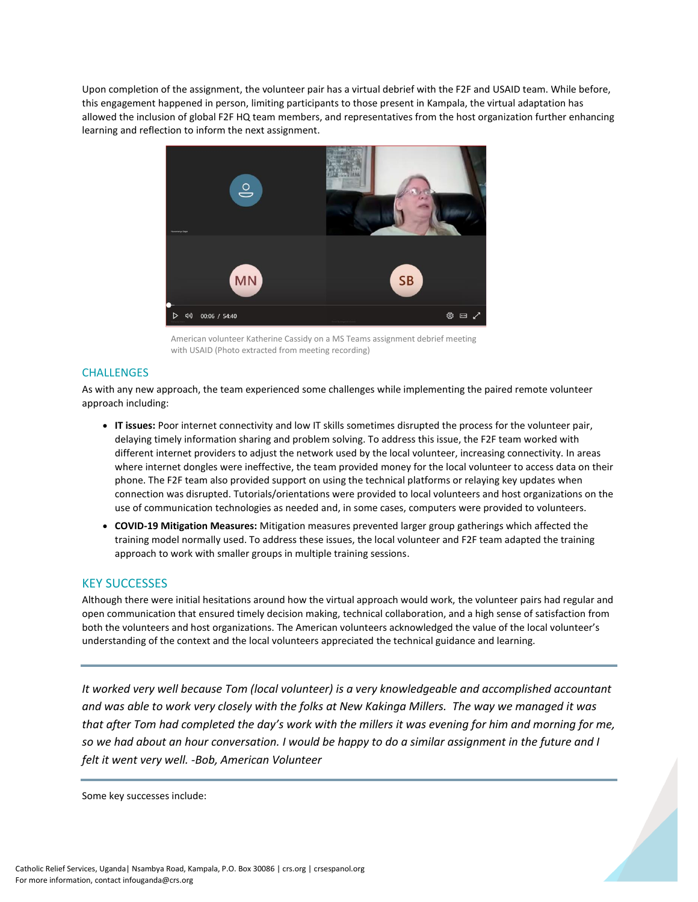Upon completion of the assignment, the volunteer pair has a virtual debrief with the F2F and USAID team. While before, this engagement happened in person, limiting participants to those present in Kampala, the virtual adaptation has allowed the inclusion of global F2F HQ team members, and representatives from the host organization further enhancing learning and reflection to inform the next assignment.



American volunteer Katherine Cassidy on a MS Teams assignment debrief meeting with USAID (Photo extracted from meeting recording)

#### **CHALLENGES**

As with any new approach, the team experienced some challenges while implementing the paired remote volunteer approach including:

- **IT issues:** Poor internet connectivity and low IT skills sometimes disrupted the process for the volunteer pair, delaying timely information sharing and problem solving. To address this issue, the F2F team worked with different internet providers to adjust the network used by the local volunteer, increasing connectivity. In areas where internet dongles were ineffective, the team provided money for the local volunteer to access data on their phone. The F2F team also provided support on using the technical platforms or relaying key updates when connection was disrupted. Tutorials/orientations were provided to local volunteers and host organizations on the use of communication technologies as needed and, in some cases, computers were provided to volunteers.
- **COVID-19 Mitigation Measures:** Mitigation measures prevented larger group gatherings which affected the training model normally used. To address these issues, the local volunteer and F2F team adapted the training approach to work with smaller groups in multiple training sessions.

## KEY SUCCESSES

Although there were initial hesitations around how the virtual approach would work, the volunteer pairs had regular and open communication that ensured timely decision making, technical collaboration, and a high sense of satisfaction from both the volunteers and host organizations. The American volunteers acknowledged the value of the local volunteer's understanding of the context and the local volunteers appreciated the technical guidance and learning.

*It worked very well because Tom (local volunteer) is a very knowledgeable and accomplished accountant and was able to work very closely with the folks at New Kakinga Millers. The way we managed it was that after Tom had completed the day's work with the millers it was evening for him and morning for me, so we had about an hour conversation. I would be happy to do a similar assignment in the future and I felt it went very well. -Bob, American Volunteer*

Some key successes include: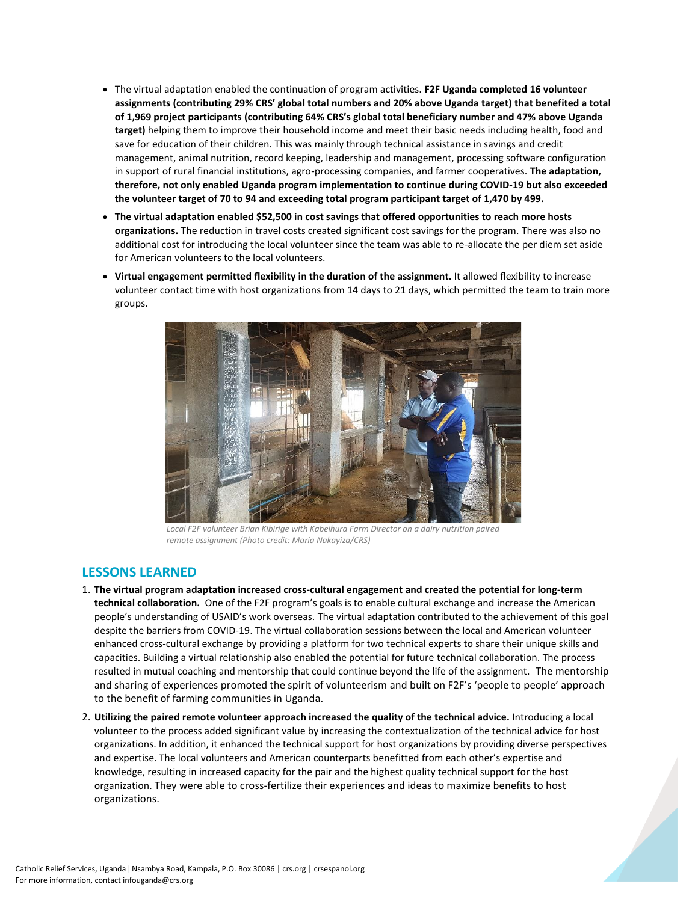- The virtual adaptation enabled the continuation of program activities. **F2F Uganda completed 16 volunteer assignments (contributing 29% CRS' global total numbers and 20% above Uganda target) that benefited a total of 1,969 project participants (contributing 64% CRS's global total beneficiary number and 47% above Uganda target)** helping them to improve their household income and meet their basic needs including health, food and save for education of their children. This was mainly through technical assistance in savings and credit management, animal nutrition, record keeping, leadership and management, processing software configuration in support of rural financial institutions, agro-processing companies, and farmer cooperatives. **The adaptation, therefore, not only enabled Uganda program implementation to continue during COVID-19 but also exceeded the volunteer target of 70 to 94 and exceeding total program participant target of 1,470 by 499.**
- **The virtual adaptation enabled \$52,500 in cost savings that offered opportunities to reach more hosts organizations.** The reduction in travel costs created significant cost savings for the program. There was also no additional cost for introducing the local volunteer since the team was able to re-allocate the per diem set aside for American volunteers to the local volunteers.
- **Virtual engagement permitted flexibility in the duration of the assignment.** It allowed flexibility to increase volunteer contact time with host organizations from 14 days to 21 days, which permitted the team to train more groups.



*Local F2F volunteer Brian Kibirige with Kabeihura Farm Director on a dairy nutrition paired remote assignment (Photo credit: Maria Nakayiza/CRS)*

## **LESSONS LEARNED**

- 1. **The virtual program adaptation increased cross-cultural engagement and created the potential for long-term technical collaboration.** One of the F2F program's goals is to enable cultural exchange and increase the American people's understanding of USAID's work overseas. The virtual adaptation contributed to the achievement of this goal despite the barriers from COVID-19. The virtual collaboration sessions between the local and American volunteer enhanced cross-cultural exchange by providing a platform for two technical experts to share their unique skills and capacities. Building a virtual relationship also enabled the potential for future technical collaboration. The process resulted in mutual coaching and mentorship that could continue beyond the life of the assignment. The mentorship and sharing of experiences promoted the spirit of volunteerism and built on F2F's 'people to people' approach to the benefit of farming communities in Uganda.
- 2. **Utilizing the paired remote volunteer approach increased the quality of the technical advice.** Introducing a local volunteer to the process added significant value by increasing the contextualization of the technical advice for host organizations. In addition, it enhanced the technical support for host organizations by providing diverse perspectives and expertise. The local volunteers and American counterparts benefitted from each other's expertise and knowledge, resulting in increased capacity for the pair and the highest quality technical support for the host organization. They were able to cross-fertilize their experiences and ideas to maximize benefits to host organizations.